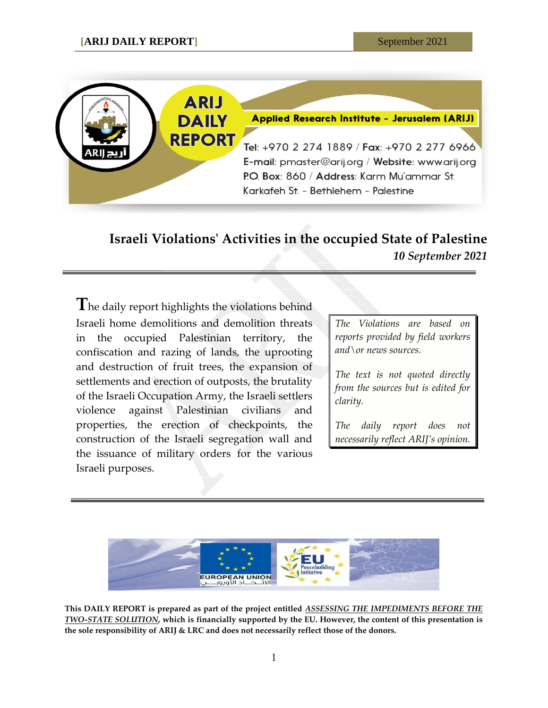

## **Israeli Violations' Activities in the occupied State of Palestine** *10 September 2021*

**T**he daily report highlights the violations behind Israeli home demolitions and demolition threats in the occupied Palestinian territory, the confiscation and razing of lands, the uprooting and destruction of fruit trees, the expansion of settlements and erection of outposts, the brutality of the Israeli Occupation Army, the Israeli settlers violence against Palestinian civilians and properties, the erection of checkpoints, the construction of the Israeli segregation wall and the issuance of military orders for the various Israeli purposes.

*The Violations are based on reports provided by field workers and\or news sources.*

*The text is not quoted directly from the sources but is edited for clarity.*

*The daily report does not necessarily reflect ARIJ's opinion.*



**This DAILY REPORT is prepared as part of the project entitled** *ASSESSING THE IMPEDIMENTS BEFORE THE TWO-STATE SOLUTION***, which is financially supported by the EU. However, the content of this presentation is the sole responsibility of ARIJ & LRC and does not necessarily reflect those of the donors.**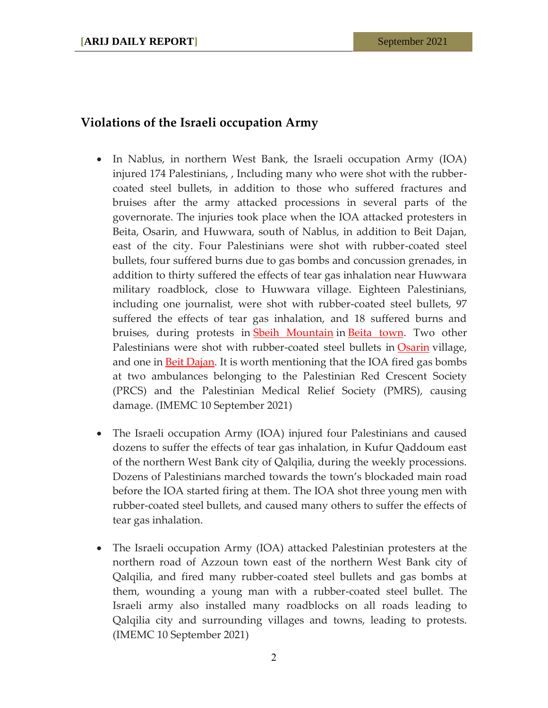## **Violations of the Israeli occupation Army**

- In Nablus, in northern West Bank, the Israeli occupation Army (IOA) injured 174 Palestinians, , Including many who were shot with the rubbercoated steel bullets, in addition to those who suffered fractures and bruises after the army attacked processions in several parts of the governorate. The injuries took place when the IOA attacked protesters in Beita, Osarin, and Huwwara, south of Nablus, in addition to Beit Dajan, east of the city. Four Palestinians were shot with rubber-coated steel bullets, four suffered burns due to gas bombs and concussion grenades, in addition to thirty suffered the effects of tear gas inhalation near Huwwara military roadblock, close to Huwwara village. Eighteen Palestinians, including one journalist, were shot with rubber-coated steel bullets, 97 suffered the effects of tear gas inhalation, and 18 suffered burns and bruises, during protests in **[Sbeih Mountain](https://imemc.org/?s=Sbeih+Mountain)** in [Beita town.](https://imemc.org/?s=Beita) Two other Palestinians were shot with rubber-coated steel bullets in **[Osarin](https://imemc.org/?s=Osarin)** village, and one in **Beit Dajan**. It is worth mentioning that the IOA fired gas bombs at two ambulances belonging to the Palestinian Red Crescent Society (PRCS) and the Palestinian Medical Relief Society (PMRS), causing damage. (IMEMC 10 September 2021)
- The Israeli occupation Army (IOA) injured four Palestinians and caused dozens to suffer the effects of tear gas inhalation, in Kufur Qaddoum east of the northern West Bank city of Qalqilia, during the weekly processions. Dozens of Palestinians marched towards the town's blockaded main road before the IOA started firing at them. The IOA shot three young men with rubber-coated steel bullets, and caused many others to suffer the effects of tear gas inhalation.
- The Israeli occupation Army (IOA) attacked Palestinian protesters at the northern road of Azzoun town east of the northern West Bank city of Qalqilia, and fired many rubber-coated steel bullets and gas bombs at them, wounding a young man with a rubber-coated steel bullet. The Israeli army also installed many roadblocks on all roads leading to Qalqilia city and surrounding villages and towns, leading to protests. (IMEMC 10 September 2021)